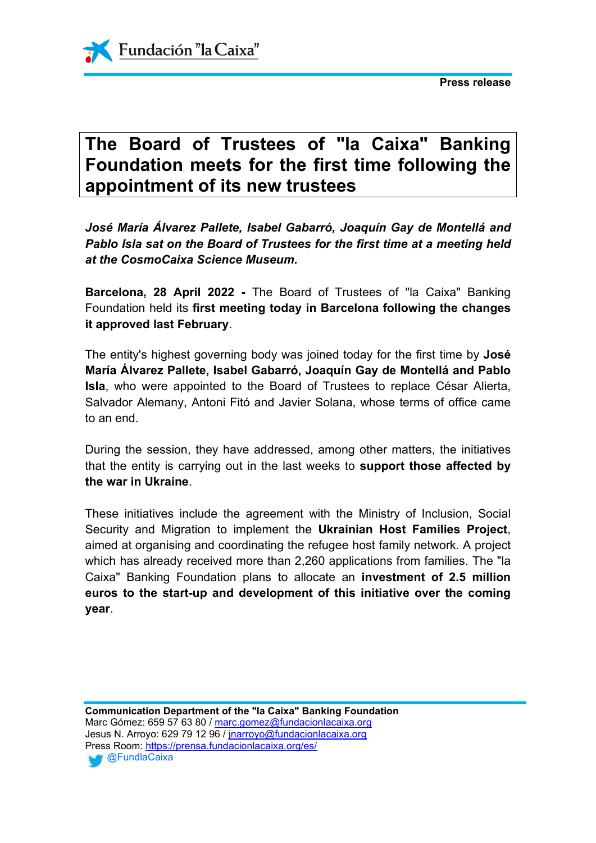



## **The Board of Trustees of "la Caixa" Banking Foundation meets for the first time following the appointment of its new trustees**

*José María Álvarez Pallete, Isabel Gabarró, Joaquín Gay de Montellá and Pablo Isla sat on the Board of Trustees for the first time at a meeting held at the CosmoCaixa Science Museum.*

**Barcelona, 28 April 2022 -** The Board of Trustees of "la Caixa" Banking Foundation held its **first meeting today in Barcelona following the changes it approved last February**.

The entity's highest governing body was joined today for the first time by **José María Álvarez Pallete, Isabel Gabarró, Joaquín Gay de Montellá and Pablo Isla**, who were appointed to the Board of Trustees to replace César Alierta, Salvador Alemany, Antoni Fitó and Javier Solana, whose terms of office came to an end.

During the session, they have addressed, among other matters, the initiatives that the entity is carrying out in the last weeks to **support those affected by the war in Ukraine**.

These initiatives include the agreement with the Ministry of Inclusion, Social Security and Migration to implement the **Ukrainian Host Families Project**, aimed at organising and coordinating the refugee host family network. A project which has already received more than 2,260 applications from families. The "la Caixa" Banking Foundation plans to allocate an **investment of 2.5 million euros to the start-up and development of this initiative over the coming year**.